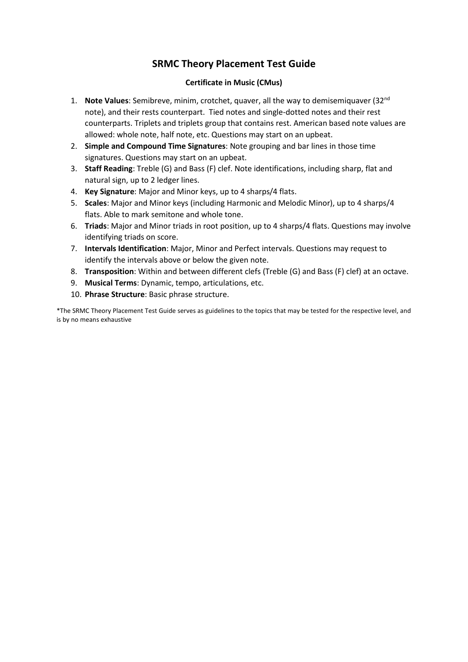#### **Certificate in Music (CMus)**

- 1. **Note Values**: Semibreve, minim, crotchet, quaver, all the way to demisemiquaver (32nd note), and their rests counterpart. Tied notes and single-dotted notes and their rest counterparts. Triplets and triplets group that contains rest. American based note values are allowed: whole note, half note, etc. Questions may start on an upbeat.
- 2. **Simple and Compound Time Signatures**: Note grouping and bar lines in those time signatures. Questions may start on an upbeat.
- 3. **Staff Reading**: Treble (G) and Bass (F) clef. Note identifications, including sharp, flat and natural sign, up to 2 ledger lines.
- 4. **Key Signature**: Major and Minor keys, up to 4 sharps/4 flats.
- 5. **Scales**: Major and Minor keys (including Harmonic and Melodic Minor), up to 4 sharps/4 flats. Able to mark semitone and whole tone.
- 6. **Triads**: Major and Minor triads in root position, up to 4 sharps/4 flats. Questions may involve identifying triads on score.
- 7. **Intervals Identification**: Major, Minor and Perfect intervals. Questions may request to identify the intervals above or below the given note.
- 8. **Transposition**: Within and between different clefs (Treble (G) and Bass (F) clef) at an octave.
- 9. **Musical Terms**: Dynamic, tempo, articulations, etc.
- 10. **Phrase Structure**: Basic phrase structure.

\*The SRMC Theory Placement Test Guide serves as guidelines to the topics that may be tested for the respective level, and is by no means exhaustive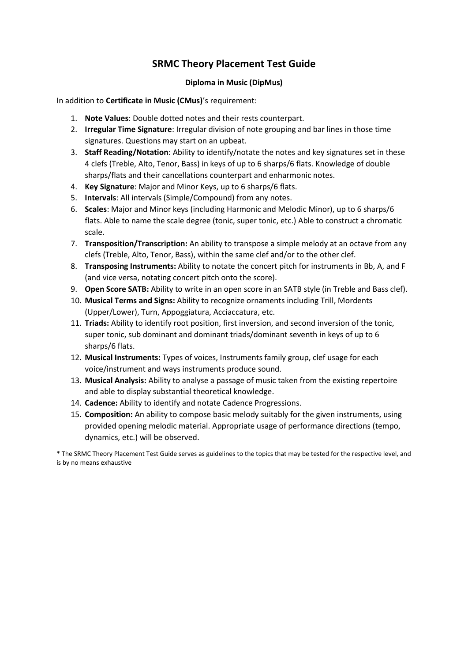#### **Diploma in Music (DipMus)**

In addition to **Certificate in Music (CMus)**'s requirement:

- 1. **Note Values**: Double dotted notes and their rests counterpart.
- 2. **Irregular Time Signature**: Irregular division of note grouping and bar lines in those time signatures. Questions may start on an upbeat.
- 3. **Staff Reading/Notation**: Ability to identify/notate the notes and key signatures set in these 4 clefs (Treble, Alto, Tenor, Bass) in keys of up to 6 sharps/6 flats. Knowledge of double sharps/flats and their cancellations counterpart and enharmonic notes.
- 4. **Key Signature**: Major and Minor Keys, up to 6 sharps/6 flats.
- 5. **Intervals**: All intervals (Simple/Compound) from any notes.
- 6. **Scales**: Major and Minor keys (including Harmonic and Melodic Minor), up to 6 sharps/6 flats. Able to name the scale degree (tonic, super tonic, etc.) Able to construct a chromatic scale.
- 7. **Transposition/Transcription:** An ability to transpose a simple melody at an octave from any clefs (Treble, Alto, Tenor, Bass), within the same clef and/or to the other clef.
- 8. **Transposing Instruments:** Ability to notate the concert pitch for instruments in Bb, A, and F (and vice versa, notating concert pitch onto the score).
- 9. **Open Score SATB:** Ability to write in an open score in an SATB style (in Treble and Bass clef).
- 10. **Musical Terms and Signs:** Ability to recognize ornaments including Trill, Mordents (Upper/Lower), Turn, Appoggiatura, Acciaccatura, etc.
- 11. **Triads:** Ability to identify root position, first inversion, and second inversion of the tonic, super tonic, sub dominant and dominant triads/dominant seventh in keys of up to 6 sharps/6 flats.
- 12. **Musical Instruments:** Types of voices, Instruments family group, clef usage for each voice/instrument and ways instruments produce sound.
- 13. **Musical Analysis:** Ability to analyse a passage of music taken from the existing repertoire and able to display substantial theoretical knowledge.
- 14. **Cadence:** Ability to identify and notate Cadence Progressions.
- 15. **Composition:** An ability to compose basic melody suitably for the given instruments, using provided opening melodic material. Appropriate usage of performance directions (tempo, dynamics, etc.) will be observed.

\* The SRMC Theory Placement Test Guide serves as guidelines to the topics that may be tested for the respective level, and is by no means exhaustive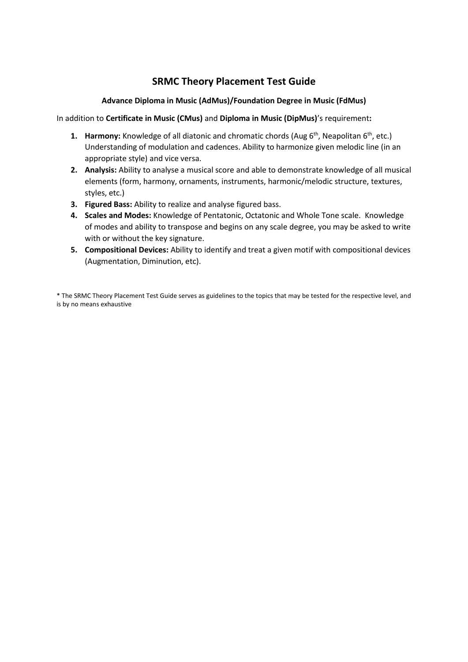### **Advance Diploma in Music (AdMus)/Foundation Degree in Music (FdMus)**

In addition to **Certificate in Music (CMus)** and **Diploma in Music (DipMus)**'s requirement**:**

- **1. Harmony:** Knowledge of all diatonic and chromatic chords (Aug 6<sup>th</sup>, Neapolitan 6<sup>th</sup>, etc.) Understanding of modulation and cadences. Ability to harmonize given melodic line (in an appropriate style) and vice versa.
- **2. Analysis:** Ability to analyse a musical score and able to demonstrate knowledge of all musical elements (form, harmony, ornaments, instruments, harmonic/melodic structure, textures, styles, etc.)
- **3. Figured Bass:** Ability to realize and analyse figured bass.
- **4. Scales and Modes:** Knowledge of Pentatonic, Octatonic and Whole Tone scale. Knowledge of modes and ability to transpose and begins on any scale degree, you may be asked to write with or without the key signature.
- **5. Compositional Devices:** Ability to identify and treat a given motif with compositional devices (Augmentation, Diminution, etc).

\* The SRMC Theory Placement Test Guide serves as guidelines to the topics that may be tested for the respective level, and is by no means exhaustive